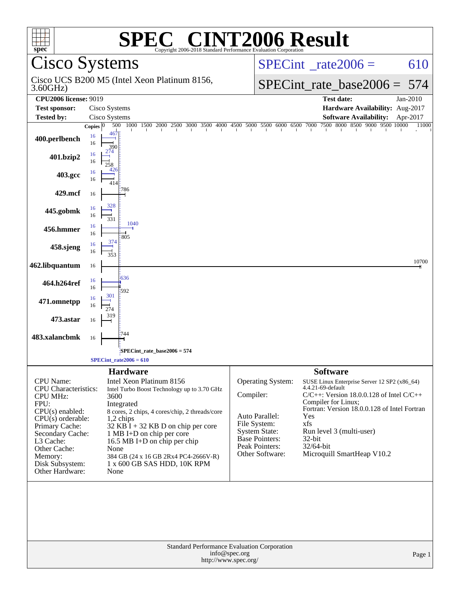| C <sup>®</sup> CINT2006 Result<br><b>SPE</b><br>spec <sup>®</sup><br>Copyright 2006-2018 Standard Performance Evaluation Corporation                                                                                                |                                                                                                                                                                                                                                                                                                                                                                               |                                                                                                                                                 |                                                                                                                                                                                                                                                                                                                |  |  |
|-------------------------------------------------------------------------------------------------------------------------------------------------------------------------------------------------------------------------------------|-------------------------------------------------------------------------------------------------------------------------------------------------------------------------------------------------------------------------------------------------------------------------------------------------------------------------------------------------------------------------------|-------------------------------------------------------------------------------------------------------------------------------------------------|----------------------------------------------------------------------------------------------------------------------------------------------------------------------------------------------------------------------------------------------------------------------------------------------------------------|--|--|
|                                                                                                                                                                                                                                     | <b>Cisco Systems</b>                                                                                                                                                                                                                                                                                                                                                          |                                                                                                                                                 | $SPECint^{\circ}$ _rate2006 =<br>610                                                                                                                                                                                                                                                                           |  |  |
| 3.60GHz                                                                                                                                                                                                                             | Cisco UCS B200 M5 (Intel Xeon Platinum 8156,                                                                                                                                                                                                                                                                                                                                  |                                                                                                                                                 | $SPECint_rate\_base2006 =$<br>- 574                                                                                                                                                                                                                                                                            |  |  |
| <b>CPU2006 license: 9019</b>                                                                                                                                                                                                        |                                                                                                                                                                                                                                                                                                                                                                               |                                                                                                                                                 | <b>Test date:</b><br>Jan-2010                                                                                                                                                                                                                                                                                  |  |  |
| <b>Test sponsor:</b>                                                                                                                                                                                                                | Cisco Systems                                                                                                                                                                                                                                                                                                                                                                 |                                                                                                                                                 | Hardware Availability: Aug-2017                                                                                                                                                                                                                                                                                |  |  |
| <b>Tested by:</b>                                                                                                                                                                                                                   | Cisco Systems                                                                                                                                                                                                                                                                                                                                                                 |                                                                                                                                                 | <b>Software Availability:</b><br>Apr-2017<br>7500 8000 8500 9000 9500 10000                                                                                                                                                                                                                                    |  |  |
| 400.perlbench                                                                                                                                                                                                                       | 1000 1500 2000<br>500<br>Copies $ 0 $<br>4671<br>16<br>16<br>390                                                                                                                                                                                                                                                                                                              | 2500 3000 3500 4000 4500 5000 5500 6000 6500 7000                                                                                               | 11000                                                                                                                                                                                                                                                                                                          |  |  |
| 401.bzip2                                                                                                                                                                                                                           | 16<br>16                                                                                                                                                                                                                                                                                                                                                                      |                                                                                                                                                 |                                                                                                                                                                                                                                                                                                                |  |  |
| 403.gcc                                                                                                                                                                                                                             | 16<br>16                                                                                                                                                                                                                                                                                                                                                                      |                                                                                                                                                 |                                                                                                                                                                                                                                                                                                                |  |  |
| 429.mcf                                                                                                                                                                                                                             | 786<br>16                                                                                                                                                                                                                                                                                                                                                                     |                                                                                                                                                 |                                                                                                                                                                                                                                                                                                                |  |  |
| 445.gobmk                                                                                                                                                                                                                           | 328<br>16<br>16<br>331                                                                                                                                                                                                                                                                                                                                                        |                                                                                                                                                 |                                                                                                                                                                                                                                                                                                                |  |  |
| 456.hmmer                                                                                                                                                                                                                           | 1040<br>16<br>16<br>805                                                                                                                                                                                                                                                                                                                                                       |                                                                                                                                                 |                                                                                                                                                                                                                                                                                                                |  |  |
| 458.sjeng                                                                                                                                                                                                                           | 374<br>16<br>16<br>353                                                                                                                                                                                                                                                                                                                                                        |                                                                                                                                                 |                                                                                                                                                                                                                                                                                                                |  |  |
| 462.libquantum                                                                                                                                                                                                                      | 16                                                                                                                                                                                                                                                                                                                                                                            |                                                                                                                                                 | 10700                                                                                                                                                                                                                                                                                                          |  |  |
| 464.h264ref                                                                                                                                                                                                                         | 636<br>16<br>16<br>592                                                                                                                                                                                                                                                                                                                                                        |                                                                                                                                                 |                                                                                                                                                                                                                                                                                                                |  |  |
| 471.omnetpp                                                                                                                                                                                                                         | 301<br>16<br>16<br>274                                                                                                                                                                                                                                                                                                                                                        |                                                                                                                                                 |                                                                                                                                                                                                                                                                                                                |  |  |
| 473.astar                                                                                                                                                                                                                           | 319<br>16                                                                                                                                                                                                                                                                                                                                                                     |                                                                                                                                                 |                                                                                                                                                                                                                                                                                                                |  |  |
| 483.xalancbmk                                                                                                                                                                                                                       | 744<br>16                                                                                                                                                                                                                                                                                                                                                                     |                                                                                                                                                 |                                                                                                                                                                                                                                                                                                                |  |  |
|                                                                                                                                                                                                                                     | SPECint rate base $2006 = 574$                                                                                                                                                                                                                                                                                                                                                |                                                                                                                                                 |                                                                                                                                                                                                                                                                                                                |  |  |
|                                                                                                                                                                                                                                     | SPECint rate $2006 = 610$                                                                                                                                                                                                                                                                                                                                                     |                                                                                                                                                 |                                                                                                                                                                                                                                                                                                                |  |  |
| CPU Name:<br><b>CPU</b> Characteristics:<br><b>CPU MHz:</b><br>FPU:<br>$CPU(s)$ enabled:<br>$CPU(s)$ orderable:<br>Primary Cache:<br>Secondary Cache:<br>L3 Cache:<br>Other Cache:<br>Memory:<br>Disk Subsystem:<br>Other Hardware: | <b>Hardware</b><br>Intel Xeon Platinum 8156<br>Intel Turbo Boost Technology up to 3.70 GHz<br>3600<br>Integrated<br>8 cores, 2 chips, 4 cores/chip, 2 threads/core<br>$1,2$ chips<br>$32$ KB I + 32 KB D on chip per core<br>1 MB I+D on chip per core<br>16.5 MB I+D on chip per chip<br>None<br>384 GB (24 x 16 GB 2Rx4 PC4-2666V-R)<br>1 x 600 GB SAS HDD, 10K RPM<br>None | Operating System:<br>Compiler:<br>Auto Parallel:<br>File System:<br><b>System State:</b><br>Base Pointers:<br>Peak Pointers:<br>Other Software: | <b>Software</b><br>SUSE Linux Enterprise Server 12 SP2 (x86_64)<br>4.4.21-69-default<br>$C/C++$ : Version 18.0.0.128 of Intel $C/C++$<br>Compiler for Linux;<br>Fortran: Version 18.0.0.128 of Intel Fortran<br>Yes<br>xfs<br>Run level 3 (multi-user)<br>$32$ -bit<br>32/64-bit<br>Microquill SmartHeap V10.2 |  |  |
| Standard Performance Evaluation Corporation<br>info@spec.org<br>Page 1<br>http://www.spec.org/                                                                                                                                      |                                                                                                                                                                                                                                                                                                                                                                               |                                                                                                                                                 |                                                                                                                                                                                                                                                                                                                |  |  |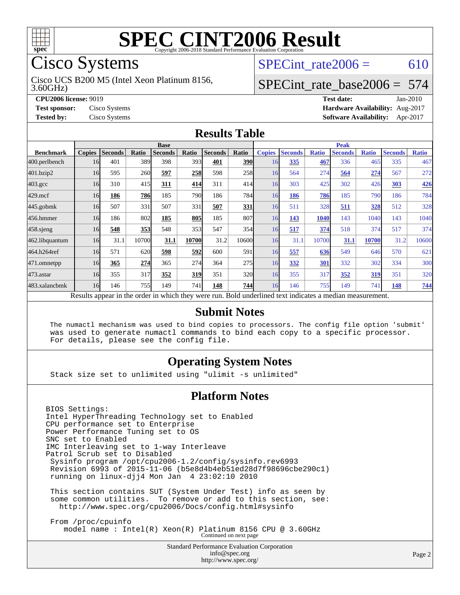

## Cisco Systems

3.60GHz) Cisco UCS B200 M5 (Intel Xeon Platinum 8156, SPECint rate $2006 = 610$ 

### [SPECint\\_rate\\_base2006 =](http://www.spec.org/auto/cpu2006/Docs/result-fields.html#SPECintratebase2006) 574

**[CPU2006 license:](http://www.spec.org/auto/cpu2006/Docs/result-fields.html#CPU2006license)** 9019 **[Test date:](http://www.spec.org/auto/cpu2006/Docs/result-fields.html#Testdate)** Jan-2010 **[Test sponsor:](http://www.spec.org/auto/cpu2006/Docs/result-fields.html#Testsponsor)** Cisco Systems **[Hardware Availability:](http://www.spec.org/auto/cpu2006/Docs/result-fields.html#HardwareAvailability)** Aug-2017 **[Tested by:](http://www.spec.org/auto/cpu2006/Docs/result-fields.html#Testedby)** Cisco Systems **[Software Availability:](http://www.spec.org/auto/cpu2006/Docs/result-fields.html#SoftwareAvailability)** Apr-2017

#### **[Results Table](http://www.spec.org/auto/cpu2006/Docs/result-fields.html#ResultsTable)**

|                    | <b>Base</b>   |                |              |                                                                                                          |       |                | <b>Peak</b> |               |                |              |                |              |                |              |
|--------------------|---------------|----------------|--------------|----------------------------------------------------------------------------------------------------------|-------|----------------|-------------|---------------|----------------|--------------|----------------|--------------|----------------|--------------|
| <b>Benchmark</b>   | <b>Copies</b> | <b>Seconds</b> | <b>Ratio</b> | <b>Seconds</b>                                                                                           | Ratio | <b>Seconds</b> | Ratio       | <b>Copies</b> | <b>Seconds</b> | <b>Ratio</b> | <b>Seconds</b> | <b>Ratio</b> | <b>Seconds</b> | <b>Ratio</b> |
| 400.perlbench      | 16            | 401            | 389          | 398                                                                                                      | 393   | 401            | <b>390</b>  | 16            | 335            | 467          | 336            | 465          | 335            | 467          |
| 401.bzip2          | 16            | 595            | 260          | 597                                                                                                      | 258   | 598            | 258         | 16            | 564            | 274          | 564            | 274          | 567            | 272          |
| $403.\mathrm{gcc}$ | 16            | 310            | 415          | 311                                                                                                      | 414   | 311            | 414         | 16            | 303            | 425          | 302            | 426          | 303            | <u>426</u>   |
| $429$ .mcf         | 16            | 186            | 786          | 185                                                                                                      | 790   | 186            | 784I        | 16            | 186            | 786          | 185            | 790          | 186            | 784          |
| $445$ .gobm $k$    | 16            | 507            | 331          | 507                                                                                                      | 331   | 507            | 331         | 16            | 511            | 328          | 511            | 328          | 512            | 328          |
| 456.hmmer          | 16            | 186            | 802          | 185                                                                                                      | 805   | 185            | 807         | 16            | 143            | 1040         | 143            | 1040         | 143            | 1040         |
| $458$ .sjeng       | 16            | 548            | 353          | 548                                                                                                      | 353   | 547            | 354         | 16            | 517            | 374          | 518            | 374          | 517            | 374          |
| 462.libquantum     | 16            | 31.1           | 10700        | 31.1                                                                                                     | 10700 | 31.2           | 10600       | 16            | 31.1           | 10700        | 31.1           | 10700        | 31.2           | 10600        |
| 464.h264ref        | 16            | 571            | 620          | 598                                                                                                      | 592   | 600            | 591         | 16            | 557            | 636          | 549            | 646          | 570            | 621          |
| 471.omnetpp        | 16            | 365            | 274          | 365                                                                                                      | 274   | 364            | 275         | 16            | 332            | 301          | 332            | 302          | 334            | 300          |
| $473$ . astar      | 16            | 355            | 317          | 352                                                                                                      | 319   | 351            | 320l        | 16            | 355            | 317          | 352            | 319          | 351            | 320          |
| 483.xalancbmk      | 16            | 146            | 755          | 149                                                                                                      | 741   | 148            | 744         | 16            | 146            | 755          | 149            | 741          | 148            | 744          |
|                    |               |                |              | Results appear in the order in which they were run. Bold underlined text indicates a median measurement. |       |                |             |               |                |              |                |              |                |              |

#### **[Submit Notes](http://www.spec.org/auto/cpu2006/Docs/result-fields.html#SubmitNotes)**

 The numactl mechanism was used to bind copies to processors. The config file option 'submit' was used to generate numactl commands to bind each copy to a specific processor. For details, please see the config file.

#### **[Operating System Notes](http://www.spec.org/auto/cpu2006/Docs/result-fields.html#OperatingSystemNotes)**

Stack size set to unlimited using "ulimit -s unlimited"

#### **[Platform Notes](http://www.spec.org/auto/cpu2006/Docs/result-fields.html#PlatformNotes)**

BIOS Settings: Intel HyperThreading Technology set to Enabled CPU performance set to Enterprise Power Performance Tuning set to OS SNC set to Enabled IMC Interleaving set to 1-way Interleave Patrol Scrub set to Disabled Sysinfo program /opt/cpu2006-1.2/config/sysinfo.rev6993 Revision 6993 of 2015-11-06 (b5e8d4b4eb51ed28d7f98696cbe290c1) running on linux-djj4 Mon Jan 4 23:02:10 2010 This section contains SUT (System Under Test) info as seen by some common utilities. To remove or add to this section, see: <http://www.spec.org/cpu2006/Docs/config.html#sysinfo> From /proc/cpuinfo

 model name : Intel(R) Xeon(R) Platinum 8156 CPU @ 3.60GHz Continued on next page

> Standard Performance Evaluation Corporation [info@spec.org](mailto:info@spec.org) <http://www.spec.org/>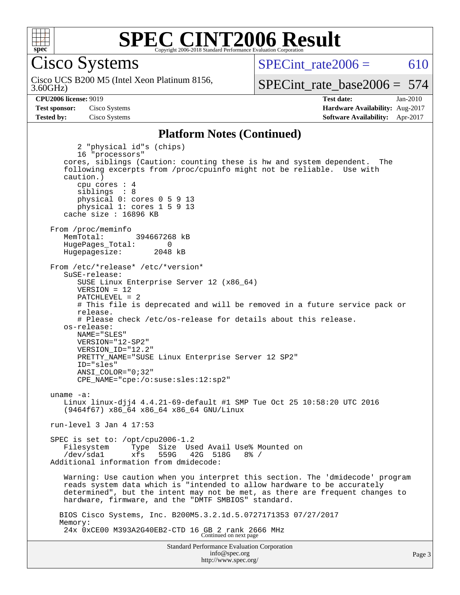

Cisco Systems

3.60GHz) Cisco UCS B200 M5 (Intel Xeon Platinum 8156, SPECint rate $2006 = 610$ 

[SPECint\\_rate\\_base2006 =](http://www.spec.org/auto/cpu2006/Docs/result-fields.html#SPECintratebase2006) 574

**[CPU2006 license:](http://www.spec.org/auto/cpu2006/Docs/result-fields.html#CPU2006license)** 9019 **[Test date:](http://www.spec.org/auto/cpu2006/Docs/result-fields.html#Testdate)** Jan-2010 **[Test sponsor:](http://www.spec.org/auto/cpu2006/Docs/result-fields.html#Testsponsor)** Cisco Systems **[Hardware Availability:](http://www.spec.org/auto/cpu2006/Docs/result-fields.html#HardwareAvailability)** Aug-2017 **[Tested by:](http://www.spec.org/auto/cpu2006/Docs/result-fields.html#Testedby)** Cisco Systems **[Software Availability:](http://www.spec.org/auto/cpu2006/Docs/result-fields.html#SoftwareAvailability)** Apr-2017

Page 3

#### **[Platform Notes \(Continued\)](http://www.spec.org/auto/cpu2006/Docs/result-fields.html#PlatformNotes)**

Standard Performance Evaluation Corporation [info@spec.org](mailto:info@spec.org) 2 "physical id"s (chips) 16 "processors" cores, siblings (Caution: counting these is hw and system dependent. The following excerpts from /proc/cpuinfo might not be reliable. Use with caution.) cpu cores : 4 siblings : 8 physical 0: cores 0 5 9 13 physical 1: cores 1 5 9 13 cache size : 16896 KB From /proc/meminfo MemTotal: 394667268 kB HugePages\_Total: 0<br>Hugepagesize: 2048 kB Hugepagesize: From /etc/\*release\* /etc/\*version\* SuSE-release: SUSE Linux Enterprise Server 12 (x86\_64) VERSION = 12 PATCHLEVEL = 2 # This file is deprecated and will be removed in a future service pack or release. # Please check /etc/os-release for details about this release. os-release: NAME="SLES" VERSION="12-SP2" VERSION\_ID="12.2" PRETTY\_NAME="SUSE Linux Enterprise Server 12 SP2" ID="sles" ANSI\_COLOR="0;32" CPE\_NAME="cpe:/o:suse:sles:12:sp2" uname -a: Linux linux-djj4 4.4.21-69-default #1 SMP Tue Oct 25 10:58:20 UTC 2016 (9464f67) x86\_64 x86\_64 x86\_64 GNU/Linux run-level 3 Jan 4 17:53 SPEC is set to: /opt/cpu2006-1.2 Filesystem Type Size Used Avail Use% Mounted on /dev/sda1 xfs 559G 42G 518G 8% / Additional information from dmidecode: Warning: Use caution when you interpret this section. The 'dmidecode' program reads system data which is "intended to allow hardware to be accurately determined", but the intent may not be met, as there are frequent changes to hardware, firmware, and the "DMTF SMBIOS" standard. BIOS Cisco Systems, Inc. B200M5.3.2.1d.5.0727171353 07/27/2017 Memory: 24x 0xCE00 M393A2G40EB2-CTD 16 GB 2 rank 2666 MHz Continued on next page

<http://www.spec.org/>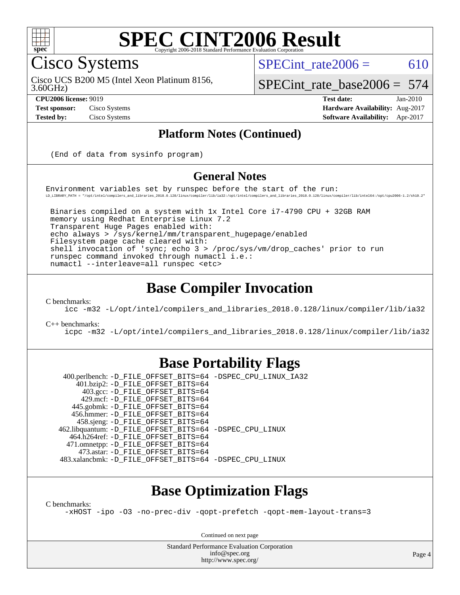

Cisco Systems

SPECint rate $2006 = 610$ 

3.60GHz) Cisco UCS B200 M5 (Intel Xeon Platinum 8156, [SPECint\\_rate\\_base2006 =](http://www.spec.org/auto/cpu2006/Docs/result-fields.html#SPECintratebase2006) 574

**[CPU2006 license:](http://www.spec.org/auto/cpu2006/Docs/result-fields.html#CPU2006license)** 9019 **[Test date:](http://www.spec.org/auto/cpu2006/Docs/result-fields.html#Testdate)** Jan-2010 **[Test sponsor:](http://www.spec.org/auto/cpu2006/Docs/result-fields.html#Testsponsor)** Cisco Systems **[Hardware Availability:](http://www.spec.org/auto/cpu2006/Docs/result-fields.html#HardwareAvailability)** Aug-2017 **[Tested by:](http://www.spec.org/auto/cpu2006/Docs/result-fields.html#Testedby)** Cisco Systems **[Software Availability:](http://www.spec.org/auto/cpu2006/Docs/result-fields.html#SoftwareAvailability)** Apr-2017

#### **[Platform Notes \(Continued\)](http://www.spec.org/auto/cpu2006/Docs/result-fields.html#PlatformNotes)**

(End of data from sysinfo program)

#### **[General Notes](http://www.spec.org/auto/cpu2006/Docs/result-fields.html#GeneralNotes)**

Environment variables set by runspec before the start of the run: LD\_LIBRARY\_PATH = "/opt/intel/compilers\_and\_libraries\_2018.0.128/linux/compiler/lib/ia32:/opt/intel/compilers\_and\_libraries\_2018.0.128/linux/compiler/lib/intel64:/opt/cpu2006-1.2/sh10.2"

 Binaries compiled on a system with 1x Intel Core i7-4790 CPU + 32GB RAM memory using Redhat Enterprise Linux 7.2 Transparent Huge Pages enabled with: echo always > /sys/kernel/mm/transparent\_hugepage/enabled Filesystem page cache cleared with: shell invocation of 'sync; echo 3 > /proc/sys/vm/drop\_caches' prior to run runspec command invoked through numactl i.e.: numactl --interleave=all runspec <etc>

#### **[Base Compiler Invocation](http://www.spec.org/auto/cpu2006/Docs/result-fields.html#BaseCompilerInvocation)**

[C benchmarks](http://www.spec.org/auto/cpu2006/Docs/result-fields.html#Cbenchmarks):

[icc -m32 -L/opt/intel/compilers\\_and\\_libraries\\_2018.0.128/linux/compiler/lib/ia32](http://www.spec.org/cpu2006/results/res2017q4/cpu2006-20170919-50231.flags.html#user_CCbase_intel_icc_f1cd40e6f144bded1b7a0c3b553250de)

[C++ benchmarks:](http://www.spec.org/auto/cpu2006/Docs/result-fields.html#CXXbenchmarks)

[icpc -m32 -L/opt/intel/compilers\\_and\\_libraries\\_2018.0.128/linux/compiler/lib/ia32](http://www.spec.org/cpu2006/results/res2017q4/cpu2006-20170919-50231.flags.html#user_CXXbase_intel_icpc_1c2a16043037212282641ff86d0d58ab)

#### **[Base Portability Flags](http://www.spec.org/auto/cpu2006/Docs/result-fields.html#BasePortabilityFlags)**

 400.perlbench: [-D\\_FILE\\_OFFSET\\_BITS=64](http://www.spec.org/cpu2006/results/res2017q4/cpu2006-20170919-50231.flags.html#user_basePORTABILITY400_perlbench_file_offset_bits_64_438cf9856305ebd76870a2c6dc2689ab) [-DSPEC\\_CPU\\_LINUX\\_IA32](http://www.spec.org/cpu2006/results/res2017q4/cpu2006-20170919-50231.flags.html#b400.perlbench_baseCPORTABILITY_DSPEC_CPU_LINUX_IA32) 401.bzip2: [-D\\_FILE\\_OFFSET\\_BITS=64](http://www.spec.org/cpu2006/results/res2017q4/cpu2006-20170919-50231.flags.html#user_basePORTABILITY401_bzip2_file_offset_bits_64_438cf9856305ebd76870a2c6dc2689ab) 403.gcc: [-D\\_FILE\\_OFFSET\\_BITS=64](http://www.spec.org/cpu2006/results/res2017q4/cpu2006-20170919-50231.flags.html#user_basePORTABILITY403_gcc_file_offset_bits_64_438cf9856305ebd76870a2c6dc2689ab) 429.mcf: [-D\\_FILE\\_OFFSET\\_BITS=64](http://www.spec.org/cpu2006/results/res2017q4/cpu2006-20170919-50231.flags.html#user_basePORTABILITY429_mcf_file_offset_bits_64_438cf9856305ebd76870a2c6dc2689ab) 445.gobmk: [-D\\_FILE\\_OFFSET\\_BITS=64](http://www.spec.org/cpu2006/results/res2017q4/cpu2006-20170919-50231.flags.html#user_basePORTABILITY445_gobmk_file_offset_bits_64_438cf9856305ebd76870a2c6dc2689ab) 456.hmmer: [-D\\_FILE\\_OFFSET\\_BITS=64](http://www.spec.org/cpu2006/results/res2017q4/cpu2006-20170919-50231.flags.html#user_basePORTABILITY456_hmmer_file_offset_bits_64_438cf9856305ebd76870a2c6dc2689ab) 458.sjeng: [-D\\_FILE\\_OFFSET\\_BITS=64](http://www.spec.org/cpu2006/results/res2017q4/cpu2006-20170919-50231.flags.html#user_basePORTABILITY458_sjeng_file_offset_bits_64_438cf9856305ebd76870a2c6dc2689ab) 462.libquantum: [-D\\_FILE\\_OFFSET\\_BITS=64](http://www.spec.org/cpu2006/results/res2017q4/cpu2006-20170919-50231.flags.html#user_basePORTABILITY462_libquantum_file_offset_bits_64_438cf9856305ebd76870a2c6dc2689ab) [-DSPEC\\_CPU\\_LINUX](http://www.spec.org/cpu2006/results/res2017q4/cpu2006-20170919-50231.flags.html#b462.libquantum_baseCPORTABILITY_DSPEC_CPU_LINUX) 464.h264ref: [-D\\_FILE\\_OFFSET\\_BITS=64](http://www.spec.org/cpu2006/results/res2017q4/cpu2006-20170919-50231.flags.html#user_basePORTABILITY464_h264ref_file_offset_bits_64_438cf9856305ebd76870a2c6dc2689ab) 471.omnetpp: [-D\\_FILE\\_OFFSET\\_BITS=64](http://www.spec.org/cpu2006/results/res2017q4/cpu2006-20170919-50231.flags.html#user_basePORTABILITY471_omnetpp_file_offset_bits_64_438cf9856305ebd76870a2c6dc2689ab) 473.astar: [-D\\_FILE\\_OFFSET\\_BITS=64](http://www.spec.org/cpu2006/results/res2017q4/cpu2006-20170919-50231.flags.html#user_basePORTABILITY473_astar_file_offset_bits_64_438cf9856305ebd76870a2c6dc2689ab) 483.xalancbmk: [-D\\_FILE\\_OFFSET\\_BITS=64](http://www.spec.org/cpu2006/results/res2017q4/cpu2006-20170919-50231.flags.html#user_basePORTABILITY483_xalancbmk_file_offset_bits_64_438cf9856305ebd76870a2c6dc2689ab) [-DSPEC\\_CPU\\_LINUX](http://www.spec.org/cpu2006/results/res2017q4/cpu2006-20170919-50231.flags.html#b483.xalancbmk_baseCXXPORTABILITY_DSPEC_CPU_LINUX)

### **[Base Optimization Flags](http://www.spec.org/auto/cpu2006/Docs/result-fields.html#BaseOptimizationFlags)**

[C benchmarks](http://www.spec.org/auto/cpu2006/Docs/result-fields.html#Cbenchmarks):

[-xHOST](http://www.spec.org/cpu2006/results/res2017q4/cpu2006-20170919-50231.flags.html#user_CCbase_f-xHost_e62ac3e528d1159ebbc7507f5617393f) [-ipo](http://www.spec.org/cpu2006/results/res2017q4/cpu2006-20170919-50231.flags.html#user_CCbase_f-ipo) [-O3](http://www.spec.org/cpu2006/results/res2017q4/cpu2006-20170919-50231.flags.html#user_CCbase_f-O3) [-no-prec-div](http://www.spec.org/cpu2006/results/res2017q4/cpu2006-20170919-50231.flags.html#user_CCbase_f-no-prec-div) [-qopt-prefetch](http://www.spec.org/cpu2006/results/res2017q4/cpu2006-20170919-50231.flags.html#user_CCbase_f-qopt-prefetch) [-qopt-mem-layout-trans=3](http://www.spec.org/cpu2006/results/res2017q4/cpu2006-20170919-50231.flags.html#user_CCbase_f-qopt-mem-layout-trans_170f5be61cd2cedc9b54468c59262d5d)

Continued on next page

Standard Performance Evaluation Corporation [info@spec.org](mailto:info@spec.org) <http://www.spec.org/>

Page 4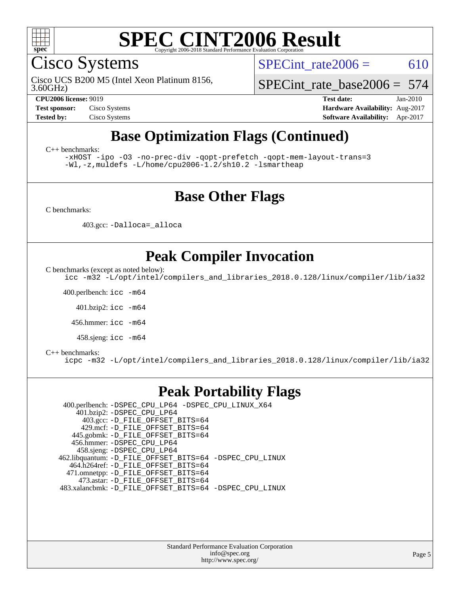

Cisco Systems

3.60GHz) Cisco UCS B200 M5 (Intel Xeon Platinum 8156, SPECint rate $2006 = 610$ 

[SPECint\\_rate\\_base2006 =](http://www.spec.org/auto/cpu2006/Docs/result-fields.html#SPECintratebase2006) 574

**[CPU2006 license:](http://www.spec.org/auto/cpu2006/Docs/result-fields.html#CPU2006license)** 9019 **[Test date:](http://www.spec.org/auto/cpu2006/Docs/result-fields.html#Testdate)** Jan-2010 **[Test sponsor:](http://www.spec.org/auto/cpu2006/Docs/result-fields.html#Testsponsor)** Cisco Systems **[Hardware Availability:](http://www.spec.org/auto/cpu2006/Docs/result-fields.html#HardwareAvailability)** Aug-2017 **[Tested by:](http://www.spec.org/auto/cpu2006/Docs/result-fields.html#Testedby)** Cisco Systems **[Software Availability:](http://www.spec.org/auto/cpu2006/Docs/result-fields.html#SoftwareAvailability)** Apr-2017

### **[Base Optimization Flags \(Continued\)](http://www.spec.org/auto/cpu2006/Docs/result-fields.html#BaseOptimizationFlags)**

[C++ benchmarks:](http://www.spec.org/auto/cpu2006/Docs/result-fields.html#CXXbenchmarks)

[-xHOST](http://www.spec.org/cpu2006/results/res2017q4/cpu2006-20170919-50231.flags.html#user_CXXbase_f-xHost_e62ac3e528d1159ebbc7507f5617393f) [-ipo](http://www.spec.org/cpu2006/results/res2017q4/cpu2006-20170919-50231.flags.html#user_CXXbase_f-ipo) [-O3](http://www.spec.org/cpu2006/results/res2017q4/cpu2006-20170919-50231.flags.html#user_CXXbase_f-O3) [-no-prec-div](http://www.spec.org/cpu2006/results/res2017q4/cpu2006-20170919-50231.flags.html#user_CXXbase_f-no-prec-div) [-qopt-prefetch](http://www.spec.org/cpu2006/results/res2017q4/cpu2006-20170919-50231.flags.html#user_CXXbase_f-qopt-prefetch) [-qopt-mem-layout-trans=3](http://www.spec.org/cpu2006/results/res2017q4/cpu2006-20170919-50231.flags.html#user_CXXbase_f-qopt-mem-layout-trans_170f5be61cd2cedc9b54468c59262d5d) [-Wl,-z,muldefs](http://www.spec.org/cpu2006/results/res2017q4/cpu2006-20170919-50231.flags.html#user_CXXbase_link_force_multiple1_74079c344b956b9658436fd1b6dd3a8a) [-L/home/cpu2006-1.2/sh10.2 -lsmartheap](http://www.spec.org/cpu2006/results/res2017q4/cpu2006-20170919-50231.flags.html#user_CXXbase_SmartHeap_5706a66a2f6a219cbb238ac92a73101d)

#### **[Base Other Flags](http://www.spec.org/auto/cpu2006/Docs/result-fields.html#BaseOtherFlags)**

[C benchmarks](http://www.spec.org/auto/cpu2006/Docs/result-fields.html#Cbenchmarks):

403.gcc: [-Dalloca=\\_alloca](http://www.spec.org/cpu2006/results/res2017q4/cpu2006-20170919-50231.flags.html#b403.gcc_baseEXTRA_CFLAGS_Dalloca_be3056838c12de2578596ca5467af7f3)

### **[Peak Compiler Invocation](http://www.spec.org/auto/cpu2006/Docs/result-fields.html#PeakCompilerInvocation)**

[C benchmarks \(except as noted below\)](http://www.spec.org/auto/cpu2006/Docs/result-fields.html#Cbenchmarksexceptasnotedbelow):

[icc -m32 -L/opt/intel/compilers\\_and\\_libraries\\_2018.0.128/linux/compiler/lib/ia32](http://www.spec.org/cpu2006/results/res2017q4/cpu2006-20170919-50231.flags.html#user_CCpeak_intel_icc_f1cd40e6f144bded1b7a0c3b553250de)

400.perlbench: [icc -m64](http://www.spec.org/cpu2006/results/res2017q4/cpu2006-20170919-50231.flags.html#user_peakCCLD400_perlbench_intel_icc_64bit_bda6cc9af1fdbb0edc3795bac97ada53)

401.bzip2: [icc -m64](http://www.spec.org/cpu2006/results/res2017q4/cpu2006-20170919-50231.flags.html#user_peakCCLD401_bzip2_intel_icc_64bit_bda6cc9af1fdbb0edc3795bac97ada53)

456.hmmer: [icc -m64](http://www.spec.org/cpu2006/results/res2017q4/cpu2006-20170919-50231.flags.html#user_peakCCLD456_hmmer_intel_icc_64bit_bda6cc9af1fdbb0edc3795bac97ada53)

458.sjeng: [icc -m64](http://www.spec.org/cpu2006/results/res2017q4/cpu2006-20170919-50231.flags.html#user_peakCCLD458_sjeng_intel_icc_64bit_bda6cc9af1fdbb0edc3795bac97ada53)

#### [C++ benchmarks:](http://www.spec.org/auto/cpu2006/Docs/result-fields.html#CXXbenchmarks)

[icpc -m32 -L/opt/intel/compilers\\_and\\_libraries\\_2018.0.128/linux/compiler/lib/ia32](http://www.spec.org/cpu2006/results/res2017q4/cpu2006-20170919-50231.flags.html#user_CXXpeak_intel_icpc_1c2a16043037212282641ff86d0d58ab)

#### **[Peak Portability Flags](http://www.spec.org/auto/cpu2006/Docs/result-fields.html#PeakPortabilityFlags)**

 400.perlbench: [-DSPEC\\_CPU\\_LP64](http://www.spec.org/cpu2006/results/res2017q4/cpu2006-20170919-50231.flags.html#b400.perlbench_peakCPORTABILITY_DSPEC_CPU_LP64) [-DSPEC\\_CPU\\_LINUX\\_X64](http://www.spec.org/cpu2006/results/res2017q4/cpu2006-20170919-50231.flags.html#b400.perlbench_peakCPORTABILITY_DSPEC_CPU_LINUX_X64) 401.bzip2: [-DSPEC\\_CPU\\_LP64](http://www.spec.org/cpu2006/results/res2017q4/cpu2006-20170919-50231.flags.html#suite_peakCPORTABILITY401_bzip2_DSPEC_CPU_LP64) 403.gcc: [-D\\_FILE\\_OFFSET\\_BITS=64](http://www.spec.org/cpu2006/results/res2017q4/cpu2006-20170919-50231.flags.html#user_peakPORTABILITY403_gcc_file_offset_bits_64_438cf9856305ebd76870a2c6dc2689ab) 429.mcf: [-D\\_FILE\\_OFFSET\\_BITS=64](http://www.spec.org/cpu2006/results/res2017q4/cpu2006-20170919-50231.flags.html#user_peakPORTABILITY429_mcf_file_offset_bits_64_438cf9856305ebd76870a2c6dc2689ab) 445.gobmk: [-D\\_FILE\\_OFFSET\\_BITS=64](http://www.spec.org/cpu2006/results/res2017q4/cpu2006-20170919-50231.flags.html#user_peakPORTABILITY445_gobmk_file_offset_bits_64_438cf9856305ebd76870a2c6dc2689ab) 456.hmmer: [-DSPEC\\_CPU\\_LP64](http://www.spec.org/cpu2006/results/res2017q4/cpu2006-20170919-50231.flags.html#suite_peakCPORTABILITY456_hmmer_DSPEC_CPU_LP64) 458.sjeng: [-DSPEC\\_CPU\\_LP64](http://www.spec.org/cpu2006/results/res2017q4/cpu2006-20170919-50231.flags.html#suite_peakCPORTABILITY458_sjeng_DSPEC_CPU_LP64) 462.libquantum: [-D\\_FILE\\_OFFSET\\_BITS=64](http://www.spec.org/cpu2006/results/res2017q4/cpu2006-20170919-50231.flags.html#user_peakPORTABILITY462_libquantum_file_offset_bits_64_438cf9856305ebd76870a2c6dc2689ab) [-DSPEC\\_CPU\\_LINUX](http://www.spec.org/cpu2006/results/res2017q4/cpu2006-20170919-50231.flags.html#b462.libquantum_peakCPORTABILITY_DSPEC_CPU_LINUX) 464.h264ref: [-D\\_FILE\\_OFFSET\\_BITS=64](http://www.spec.org/cpu2006/results/res2017q4/cpu2006-20170919-50231.flags.html#user_peakPORTABILITY464_h264ref_file_offset_bits_64_438cf9856305ebd76870a2c6dc2689ab) 471.omnetpp: [-D\\_FILE\\_OFFSET\\_BITS=64](http://www.spec.org/cpu2006/results/res2017q4/cpu2006-20170919-50231.flags.html#user_peakPORTABILITY471_omnetpp_file_offset_bits_64_438cf9856305ebd76870a2c6dc2689ab) 473.astar: [-D\\_FILE\\_OFFSET\\_BITS=64](http://www.spec.org/cpu2006/results/res2017q4/cpu2006-20170919-50231.flags.html#user_peakPORTABILITY473_astar_file_offset_bits_64_438cf9856305ebd76870a2c6dc2689ab) 483.xalancbmk: [-D\\_FILE\\_OFFSET\\_BITS=64](http://www.spec.org/cpu2006/results/res2017q4/cpu2006-20170919-50231.flags.html#user_peakPORTABILITY483_xalancbmk_file_offset_bits_64_438cf9856305ebd76870a2c6dc2689ab) [-DSPEC\\_CPU\\_LINUX](http://www.spec.org/cpu2006/results/res2017q4/cpu2006-20170919-50231.flags.html#b483.xalancbmk_peakCXXPORTABILITY_DSPEC_CPU_LINUX)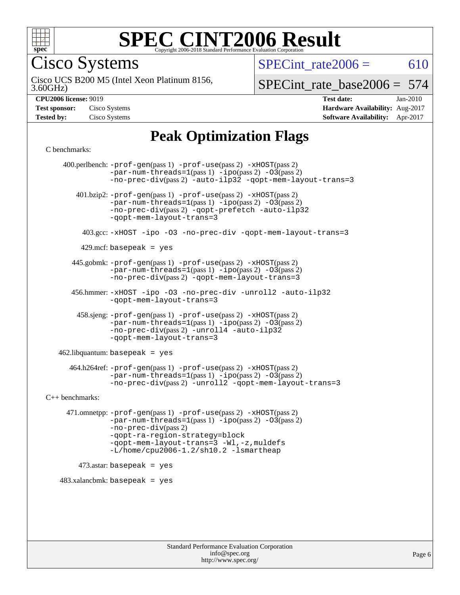

Cisco Systems

SPECint rate $2006 = 610$ 

3.60GHz) Cisco UCS B200 M5 (Intel Xeon Platinum 8156,

SPECint rate base  $2006 = 574$ 

**[Hardware Availability:](http://www.spec.org/auto/cpu2006/Docs/result-fields.html#HardwareAvailability)** Aug-2017 **[Software Availability:](http://www.spec.org/auto/cpu2006/Docs/result-fields.html#SoftwareAvailability)** Apr-2017

**[CPU2006 license:](http://www.spec.org/auto/cpu2006/Docs/result-fields.html#CPU2006license)** 9019 **[Test date:](http://www.spec.org/auto/cpu2006/Docs/result-fields.html#Testdate)** Jan-2010

| <b>Test sponsor:</b> | Cisco Systems |
|----------------------|---------------|
| Tested by:           | Cisco Systems |

### **[Peak Optimization Flags](http://www.spec.org/auto/cpu2006/Docs/result-fields.html#PeakOptimizationFlags)**

[C benchmarks](http://www.spec.org/auto/cpu2006/Docs/result-fields.html#Cbenchmarks):

 400.perlbench: [-prof-gen](http://www.spec.org/cpu2006/results/res2017q4/cpu2006-20170919-50231.flags.html#user_peakPASS1_CFLAGSPASS1_LDCFLAGS400_perlbench_prof_gen_e43856698f6ca7b7e442dfd80e94a8fc)(pass 1) [-prof-use](http://www.spec.org/cpu2006/results/res2017q4/cpu2006-20170919-50231.flags.html#user_peakPASS2_CFLAGSPASS2_LDCFLAGS400_perlbench_prof_use_bccf7792157ff70d64e32fe3e1250b55)(pass 2) [-xHOST](http://www.spec.org/cpu2006/results/res2017q4/cpu2006-20170919-50231.flags.html#user_peakPASS2_CFLAGSPASS2_LDCFLAGS400_perlbench_f-xHost_e62ac3e528d1159ebbc7507f5617393f)(pass 2)  $-par-num-threads=1(pass 1) -ipo(pass 2) -O3(pass 2)$  $-par-num-threads=1(pass 1) -ipo(pass 2) -O3(pass 2)$  $-par-num-threads=1(pass 1) -ipo(pass 2) -O3(pass 2)$  $-par-num-threads=1(pass 1) -ipo(pass 2) -O3(pass 2)$  $-par-num-threads=1(pass 1) -ipo(pass 2) -O3(pass 2)$  $-par-num-threads=1(pass 1) -ipo(pass 2) -O3(pass 2)$ [-no-prec-div](http://www.spec.org/cpu2006/results/res2017q4/cpu2006-20170919-50231.flags.html#user_peakPASS2_CFLAGSPASS2_LDCFLAGS400_perlbench_f-no-prec-div)(pass 2) [-auto-ilp32](http://www.spec.org/cpu2006/results/res2017q4/cpu2006-20170919-50231.flags.html#user_peakCOPTIMIZE400_perlbench_f-auto-ilp32) [-qopt-mem-layout-trans=3](http://www.spec.org/cpu2006/results/res2017q4/cpu2006-20170919-50231.flags.html#user_peakCOPTIMIZE400_perlbench_f-qopt-mem-layout-trans_170f5be61cd2cedc9b54468c59262d5d) 401.bzip2: [-prof-gen](http://www.spec.org/cpu2006/results/res2017q4/cpu2006-20170919-50231.flags.html#user_peakPASS1_CFLAGSPASS1_LDCFLAGS401_bzip2_prof_gen_e43856698f6ca7b7e442dfd80e94a8fc)(pass 1) [-prof-use](http://www.spec.org/cpu2006/results/res2017q4/cpu2006-20170919-50231.flags.html#user_peakPASS2_CFLAGSPASS2_LDCFLAGS401_bzip2_prof_use_bccf7792157ff70d64e32fe3e1250b55)(pass 2) [-xHOST](http://www.spec.org/cpu2006/results/res2017q4/cpu2006-20170919-50231.flags.html#user_peakPASS2_CFLAGSPASS2_LDCFLAGS401_bzip2_f-xHost_e62ac3e528d1159ebbc7507f5617393f)(pass 2)  $-par-num-threads=1(pass 1) -ipo(pass 2) -O3(pass 2)$  $-par-num-threads=1(pass 1) -ipo(pass 2) -O3(pass 2)$  $-par-num-threads=1(pass 1) -ipo(pass 2) -O3(pass 2)$  $-par-num-threads=1(pass 1) -ipo(pass 2) -O3(pass 2)$  $-par-num-threads=1(pass 1) -ipo(pass 2) -O3(pass 2)$  $-par-num-threads=1(pass 1) -ipo(pass 2) -O3(pass 2)$ [-no-prec-div](http://www.spec.org/cpu2006/results/res2017q4/cpu2006-20170919-50231.flags.html#user_peakPASS2_CFLAGSPASS2_LDCFLAGS401_bzip2_f-no-prec-div)(pass 2) [-qopt-prefetch](http://www.spec.org/cpu2006/results/res2017q4/cpu2006-20170919-50231.flags.html#user_peakCOPTIMIZE401_bzip2_f-qopt-prefetch) [-auto-ilp32](http://www.spec.org/cpu2006/results/res2017q4/cpu2006-20170919-50231.flags.html#user_peakCOPTIMIZE401_bzip2_f-auto-ilp32) [-qopt-mem-layout-trans=3](http://www.spec.org/cpu2006/results/res2017q4/cpu2006-20170919-50231.flags.html#user_peakCOPTIMIZE401_bzip2_f-qopt-mem-layout-trans_170f5be61cd2cedc9b54468c59262d5d) 403.gcc: [-xHOST](http://www.spec.org/cpu2006/results/res2017q4/cpu2006-20170919-50231.flags.html#user_peakOPTIMIZE403_gcc_f-xHost_e62ac3e528d1159ebbc7507f5617393f) [-ipo](http://www.spec.org/cpu2006/results/res2017q4/cpu2006-20170919-50231.flags.html#user_peakOPTIMIZE403_gcc_f-ipo) [-O3](http://www.spec.org/cpu2006/results/res2017q4/cpu2006-20170919-50231.flags.html#user_peakOPTIMIZE403_gcc_f-O3) [-no-prec-div](http://www.spec.org/cpu2006/results/res2017q4/cpu2006-20170919-50231.flags.html#user_peakOPTIMIZE403_gcc_f-no-prec-div) [-qopt-mem-layout-trans=3](http://www.spec.org/cpu2006/results/res2017q4/cpu2006-20170919-50231.flags.html#user_peakCOPTIMIZE403_gcc_f-qopt-mem-layout-trans_170f5be61cd2cedc9b54468c59262d5d)  $429$ .mcf: basepeak = yes 445.gobmk: [-prof-gen](http://www.spec.org/cpu2006/results/res2017q4/cpu2006-20170919-50231.flags.html#user_peakPASS1_CFLAGSPASS1_LDCFLAGS445_gobmk_prof_gen_e43856698f6ca7b7e442dfd80e94a8fc)(pass 1) [-prof-use](http://www.spec.org/cpu2006/results/res2017q4/cpu2006-20170919-50231.flags.html#user_peakPASS2_CFLAGSPASS2_LDCFLAGSPASS2_LDFLAGS445_gobmk_prof_use_bccf7792157ff70d64e32fe3e1250b55)(pass 2) [-xHOST](http://www.spec.org/cpu2006/results/res2017q4/cpu2006-20170919-50231.flags.html#user_peakPASS2_CFLAGSPASS2_LDCFLAGSPASS2_LDFLAGS445_gobmk_f-xHost_e62ac3e528d1159ebbc7507f5617393f)(pass 2)  $-par-num-threads=1(pass 1) -ipo(pass 2) -O3(pass 2)$  $-par-num-threads=1(pass 1) -ipo(pass 2) -O3(pass 2)$  $-par-num-threads=1(pass 1) -ipo(pass 2) -O3(pass 2)$  $-par-num-threads=1(pass 1) -ipo(pass 2) -O3(pass 2)$  $-par-num-threads=1(pass 1) -ipo(pass 2) -O3(pass 2)$  $-par-num-threads=1(pass 1) -ipo(pass 2) -O3(pass 2)$ [-no-prec-div](http://www.spec.org/cpu2006/results/res2017q4/cpu2006-20170919-50231.flags.html#user_peakPASS2_LDCFLAGS445_gobmk_f-no-prec-div)(pass 2) [-qopt-mem-layout-trans=3](http://www.spec.org/cpu2006/results/res2017q4/cpu2006-20170919-50231.flags.html#user_peakCOPTIMIZE445_gobmk_f-qopt-mem-layout-trans_170f5be61cd2cedc9b54468c59262d5d) 456.hmmer: [-xHOST](http://www.spec.org/cpu2006/results/res2017q4/cpu2006-20170919-50231.flags.html#user_peakOPTIMIZE456_hmmer_f-xHost_e62ac3e528d1159ebbc7507f5617393f) [-ipo](http://www.spec.org/cpu2006/results/res2017q4/cpu2006-20170919-50231.flags.html#user_peakOPTIMIZE456_hmmer_f-ipo) [-O3](http://www.spec.org/cpu2006/results/res2017q4/cpu2006-20170919-50231.flags.html#user_peakOPTIMIZE456_hmmer_f-O3) [-no-prec-div](http://www.spec.org/cpu2006/results/res2017q4/cpu2006-20170919-50231.flags.html#user_peakOPTIMIZE456_hmmer_f-no-prec-div) [-unroll2](http://www.spec.org/cpu2006/results/res2017q4/cpu2006-20170919-50231.flags.html#user_peakCOPTIMIZE456_hmmer_f-unroll_784dae83bebfb236979b41d2422d7ec2) [-auto-ilp32](http://www.spec.org/cpu2006/results/res2017q4/cpu2006-20170919-50231.flags.html#user_peakCOPTIMIZE456_hmmer_f-auto-ilp32) [-qopt-mem-layout-trans=3](http://www.spec.org/cpu2006/results/res2017q4/cpu2006-20170919-50231.flags.html#user_peakCOPTIMIZE456_hmmer_f-qopt-mem-layout-trans_170f5be61cd2cedc9b54468c59262d5d) 458.sjeng: [-prof-gen](http://www.spec.org/cpu2006/results/res2017q4/cpu2006-20170919-50231.flags.html#user_peakPASS1_CFLAGSPASS1_LDCFLAGS458_sjeng_prof_gen_e43856698f6ca7b7e442dfd80e94a8fc)(pass 1) [-prof-use](http://www.spec.org/cpu2006/results/res2017q4/cpu2006-20170919-50231.flags.html#user_peakPASS2_CFLAGSPASS2_LDCFLAGS458_sjeng_prof_use_bccf7792157ff70d64e32fe3e1250b55)(pass 2) [-xHOST](http://www.spec.org/cpu2006/results/res2017q4/cpu2006-20170919-50231.flags.html#user_peakPASS2_CFLAGSPASS2_LDCFLAGS458_sjeng_f-xHost_e62ac3e528d1159ebbc7507f5617393f)(pass 2)  $-par-num-threads=1(pass 1) -ipo(pass 2) -O3(pass 2)$  $-par-num-threads=1(pass 1) -ipo(pass 2) -O3(pass 2)$  $-par-num-threads=1(pass 1) -ipo(pass 2) -O3(pass 2)$  $-par-num-threads=1(pass 1) -ipo(pass 2) -O3(pass 2)$  $-par-num-threads=1(pass 1) -ipo(pass 2) -O3(pass 2)$  $-par-num-threads=1(pass 1) -ipo(pass 2) -O3(pass 2)$ [-no-prec-div](http://www.spec.org/cpu2006/results/res2017q4/cpu2006-20170919-50231.flags.html#user_peakPASS2_CFLAGSPASS2_LDCFLAGS458_sjeng_f-no-prec-div)(pass 2) [-unroll4](http://www.spec.org/cpu2006/results/res2017q4/cpu2006-20170919-50231.flags.html#user_peakCOPTIMIZE458_sjeng_f-unroll_4e5e4ed65b7fd20bdcd365bec371b81f) [-auto-ilp32](http://www.spec.org/cpu2006/results/res2017q4/cpu2006-20170919-50231.flags.html#user_peakCOPTIMIZE458_sjeng_f-auto-ilp32) [-qopt-mem-layout-trans=3](http://www.spec.org/cpu2006/results/res2017q4/cpu2006-20170919-50231.flags.html#user_peakCOPTIMIZE458_sjeng_f-qopt-mem-layout-trans_170f5be61cd2cedc9b54468c59262d5d)  $462$ .libquantum: basepeak = yes 464.h264ref: [-prof-gen](http://www.spec.org/cpu2006/results/res2017q4/cpu2006-20170919-50231.flags.html#user_peakPASS1_CFLAGSPASS1_LDCFLAGS464_h264ref_prof_gen_e43856698f6ca7b7e442dfd80e94a8fc)(pass 1) [-prof-use](http://www.spec.org/cpu2006/results/res2017q4/cpu2006-20170919-50231.flags.html#user_peakPASS2_CFLAGSPASS2_LDCFLAGS464_h264ref_prof_use_bccf7792157ff70d64e32fe3e1250b55)(pass 2) [-xHOST](http://www.spec.org/cpu2006/results/res2017q4/cpu2006-20170919-50231.flags.html#user_peakPASS2_CFLAGSPASS2_LDCFLAGS464_h264ref_f-xHost_e62ac3e528d1159ebbc7507f5617393f)(pass 2)  $-par-num-threads=1(pass 1) -ipo(pass 2) -O3(pass 2)$  $-par-num-threads=1(pass 1) -ipo(pass 2) -O3(pass 2)$  $-par-num-threads=1(pass 1) -ipo(pass 2) -O3(pass 2)$  $-par-num-threads=1(pass 1) -ipo(pass 2) -O3(pass 2)$  $-par-num-threads=1(pass 1) -ipo(pass 2) -O3(pass 2)$  $-par-num-threads=1(pass 1) -ipo(pass 2) -O3(pass 2)$ [-no-prec-div](http://www.spec.org/cpu2006/results/res2017q4/cpu2006-20170919-50231.flags.html#user_peakPASS2_CFLAGSPASS2_LDCFLAGS464_h264ref_f-no-prec-div)(pass 2) [-unroll2](http://www.spec.org/cpu2006/results/res2017q4/cpu2006-20170919-50231.flags.html#user_peakCOPTIMIZE464_h264ref_f-unroll_784dae83bebfb236979b41d2422d7ec2) [-qopt-mem-layout-trans=3](http://www.spec.org/cpu2006/results/res2017q4/cpu2006-20170919-50231.flags.html#user_peakCOPTIMIZE464_h264ref_f-qopt-mem-layout-trans_170f5be61cd2cedc9b54468c59262d5d) [C++ benchmarks:](http://www.spec.org/auto/cpu2006/Docs/result-fields.html#CXXbenchmarks) 471.omnetpp: [-prof-gen](http://www.spec.org/cpu2006/results/res2017q4/cpu2006-20170919-50231.flags.html#user_peakPASS1_CXXFLAGSPASS1_LDCXXFLAGS471_omnetpp_prof_gen_e43856698f6ca7b7e442dfd80e94a8fc)(pass 1) [-prof-use](http://www.spec.org/cpu2006/results/res2017q4/cpu2006-20170919-50231.flags.html#user_peakPASS2_CXXFLAGSPASS2_LDCXXFLAGS471_omnetpp_prof_use_bccf7792157ff70d64e32fe3e1250b55)(pass 2) [-xHOST](http://www.spec.org/cpu2006/results/res2017q4/cpu2006-20170919-50231.flags.html#user_peakPASS2_CXXFLAGSPASS2_LDCXXFLAGS471_omnetpp_f-xHost_e62ac3e528d1159ebbc7507f5617393f)(pass 2)  $-par-num-threads=1(pass 1) -ipo(pass 2) -O3(pass 2)$  $-par-num-threads=1(pass 1) -ipo(pass 2) -O3(pass 2)$  $-par-num-threads=1(pass 1) -ipo(pass 2) -O3(pass 2)$  $-par-num-threads=1(pass 1) -ipo(pass 2) -O3(pass 2)$  $-par-num-threads=1(pass 1) -ipo(pass 2) -O3(pass 2)$  $-par-num-threads=1(pass 1) -ipo(pass 2) -O3(pass 2)$ [-no-prec-div](http://www.spec.org/cpu2006/results/res2017q4/cpu2006-20170919-50231.flags.html#user_peakPASS2_CXXFLAGSPASS2_LDCXXFLAGS471_omnetpp_f-no-prec-div)(pass 2) [-qopt-ra-region-strategy=block](http://www.spec.org/cpu2006/results/res2017q4/cpu2006-20170919-50231.flags.html#user_peakCXXOPTIMIZE471_omnetpp_f-qopt-ra-region-strategy_430aa8f7c220cbde92ae827fa8d9be32)  [-qopt-mem-layout-trans=3](http://www.spec.org/cpu2006/results/res2017q4/cpu2006-20170919-50231.flags.html#user_peakCXXOPTIMIZE471_omnetpp_f-qopt-mem-layout-trans_170f5be61cd2cedc9b54468c59262d5d) [-Wl,-z,muldefs](http://www.spec.org/cpu2006/results/res2017q4/cpu2006-20170919-50231.flags.html#user_peakEXTRA_LDFLAGS471_omnetpp_link_force_multiple1_74079c344b956b9658436fd1b6dd3a8a) [-L/home/cpu2006-1.2/sh10.2 -lsmartheap](http://www.spec.org/cpu2006/results/res2017q4/cpu2006-20170919-50231.flags.html#user_peakEXTRA_LIBS471_omnetpp_SmartHeap_5706a66a2f6a219cbb238ac92a73101d)  $473$ .astar: basepeak = yes  $483.xalanchmk: basepeak = yes$